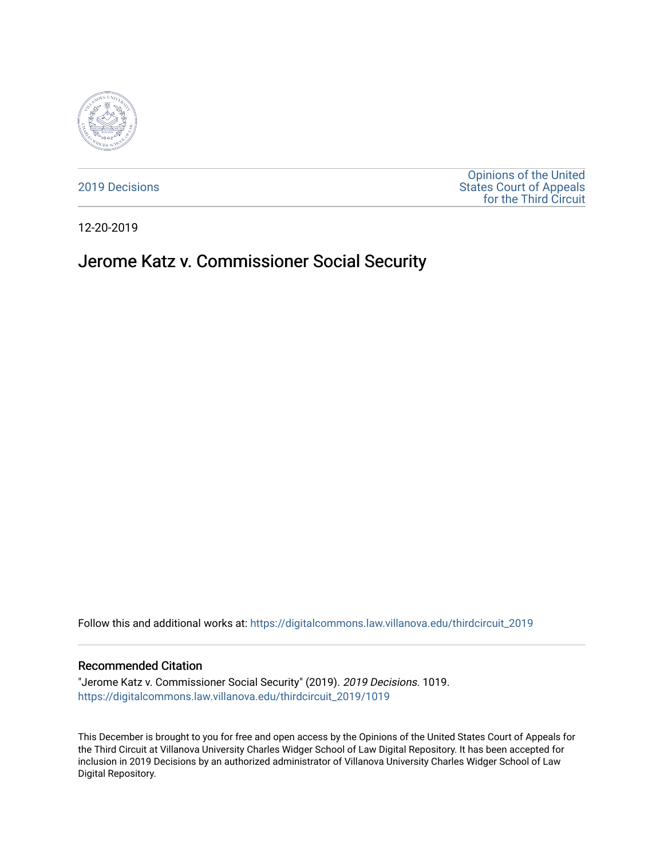

[2019 Decisions](https://digitalcommons.law.villanova.edu/thirdcircuit_2019)

[Opinions of the United](https://digitalcommons.law.villanova.edu/thirdcircuit)  [States Court of Appeals](https://digitalcommons.law.villanova.edu/thirdcircuit)  [for the Third Circuit](https://digitalcommons.law.villanova.edu/thirdcircuit) 

12-20-2019

# Jerome Katz v. Commissioner Social Security

Follow this and additional works at: [https://digitalcommons.law.villanova.edu/thirdcircuit\\_2019](https://digitalcommons.law.villanova.edu/thirdcircuit_2019?utm_source=digitalcommons.law.villanova.edu%2Fthirdcircuit_2019%2F1019&utm_medium=PDF&utm_campaign=PDFCoverPages) 

#### Recommended Citation

"Jerome Katz v. Commissioner Social Security" (2019). 2019 Decisions. 1019. [https://digitalcommons.law.villanova.edu/thirdcircuit\\_2019/1019](https://digitalcommons.law.villanova.edu/thirdcircuit_2019/1019?utm_source=digitalcommons.law.villanova.edu%2Fthirdcircuit_2019%2F1019&utm_medium=PDF&utm_campaign=PDFCoverPages) 

This December is brought to you for free and open access by the Opinions of the United States Court of Appeals for the Third Circuit at Villanova University Charles Widger School of Law Digital Repository. It has been accepted for inclusion in 2019 Decisions by an authorized administrator of Villanova University Charles Widger School of Law Digital Repository.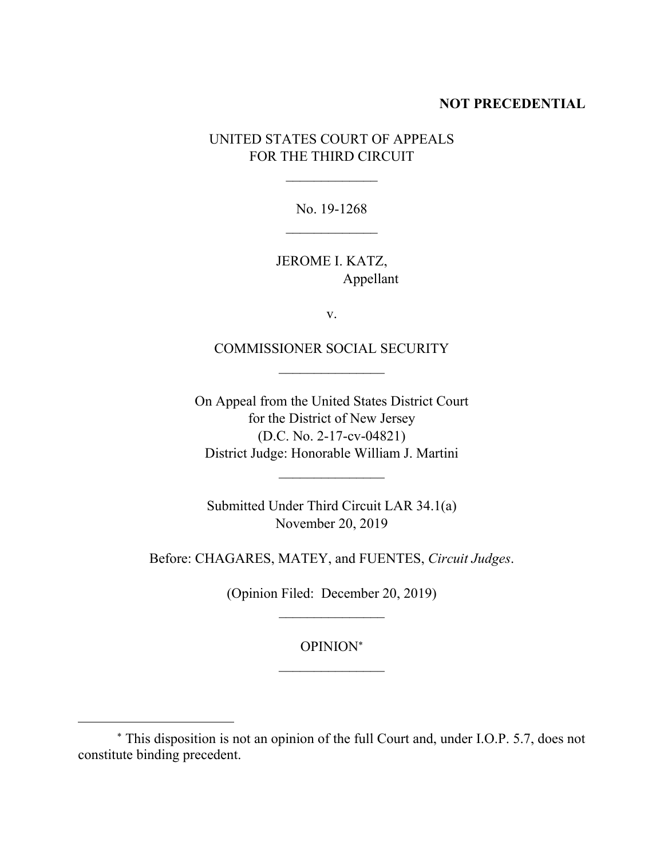#### **NOT PRECEDENTIAL**

UNITED STATES COURT OF APPEALS FOR THE THIRD CIRCUIT

> No. 19-1268  $\mathcal{L}_\text{max}$  and  $\mathcal{L}_\text{max}$

JEROME I. KATZ, Appellant

v.

COMMISSIONER SOCIAL SECURITY  $\mathcal{L}_\text{max}$  and  $\mathcal{L}_\text{max}$ 

On Appeal from the United States District Court for the District of New Jersey (D.C. No. 2-17-cv-04821) District Judge: Honorable William J. Martini

 $\mathcal{L}_\text{max}$  and  $\mathcal{L}_\text{max}$ 

Submitted Under Third Circuit LAR 34.1(a) November 20, 2019

Before: CHAGARES, MATEY, and FUENTES, *Circuit Judges*.

(Opinion Filed: December 20, 2019)  $\mathcal{L}_\text{max}$  and  $\mathcal{L}_\text{max}$ 

> OPINION  $\mathcal{L}_\text{max}$  and  $\mathcal{L}_\text{max}$

 $\overline{a}$ 

This disposition is not an opinion of the full Court and, under I.O.P. 5.7, does not constitute binding precedent.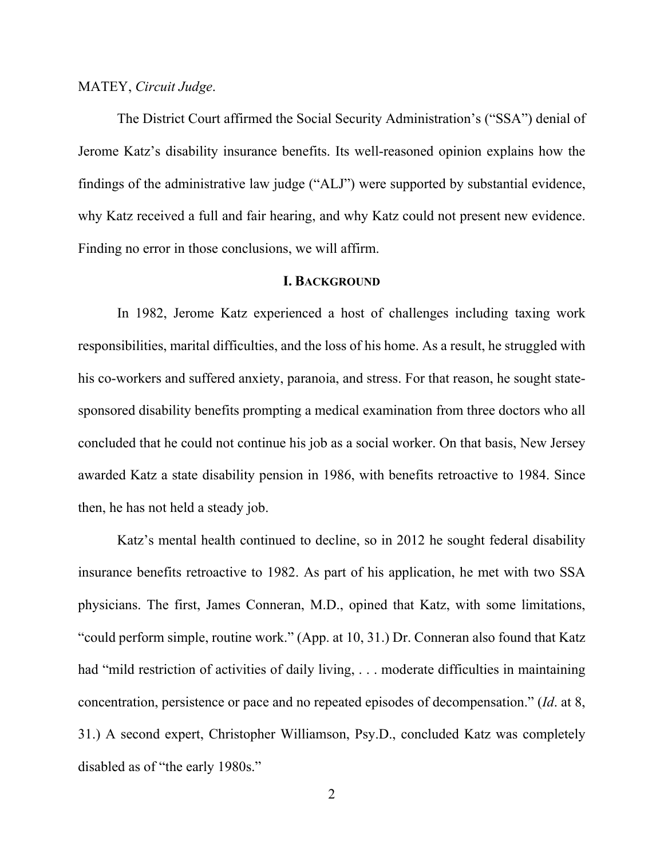#### MATEY, *Circuit Judge*.

The District Court affirmed the Social Security Administration's ("SSA") denial of Jerome Katz's disability insurance benefits. Its well-reasoned opinion explains how the findings of the administrative law judge ("ALJ") were supported by substantial evidence, why Katz received a full and fair hearing, and why Katz could not present new evidence. Finding no error in those conclusions, we will affirm.

## **I. BACKGROUND**

In 1982, Jerome Katz experienced a host of challenges including taxing work responsibilities, marital difficulties, and the loss of his home. As a result, he struggled with his co-workers and suffered anxiety, paranoia, and stress. For that reason, he sought statesponsored disability benefits prompting a medical examination from three doctors who all concluded that he could not continue his job as a social worker. On that basis, New Jersey awarded Katz a state disability pension in 1986, with benefits retroactive to 1984. Since then, he has not held a steady job.

Katz's mental health continued to decline, so in 2012 he sought federal disability insurance benefits retroactive to 1982. As part of his application, he met with two SSA physicians. The first, James Conneran, M.D., opined that Katz, with some limitations, "could perform simple, routine work." (App. at 10, 31.) Dr. Conneran also found that Katz had "mild restriction of activities of daily living, ... moderate difficulties in maintaining concentration, persistence or pace and no repeated episodes of decompensation." (*Id*. at 8, 31.) A second expert, Christopher Williamson, Psy.D., concluded Katz was completely disabled as of "the early 1980s."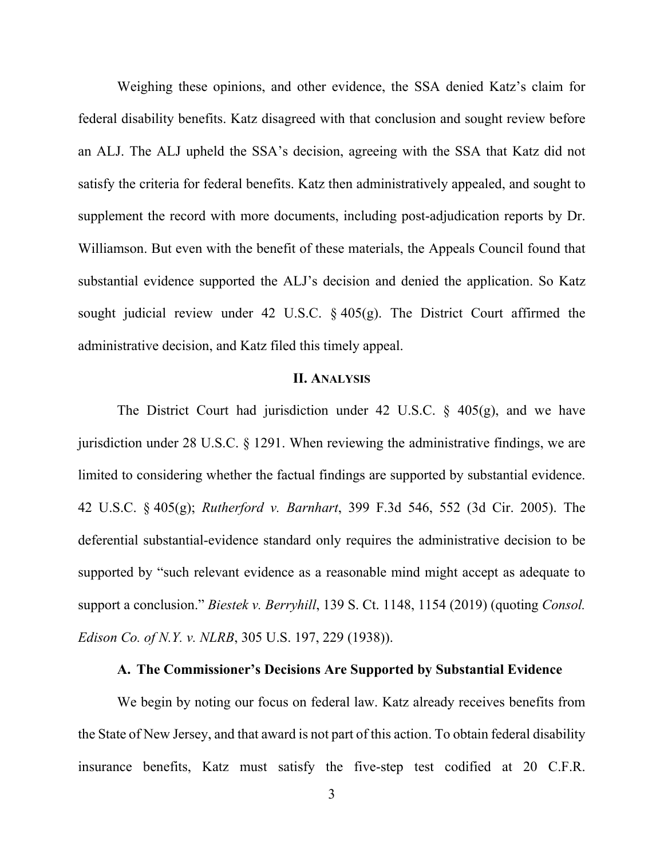Weighing these opinions, and other evidence, the SSA denied Katz's claim for federal disability benefits. Katz disagreed with that conclusion and sought review before an ALJ. The ALJ upheld the SSA's decision, agreeing with the SSA that Katz did not satisfy the criteria for federal benefits. Katz then administratively appealed, and sought to supplement the record with more documents, including post-adjudication reports by Dr. Williamson. But even with the benefit of these materials, the Appeals Council found that substantial evidence supported the ALJ's decision and denied the application. So Katz sought judicial review under 42 U.S.C. § 405(g). The District Court affirmed the administrative decision, and Katz filed this timely appeal.

## **II. ANALYSIS**

The District Court had jurisdiction under 42 U.S.C.  $\S$  405(g), and we have jurisdiction under 28 U.S.C. § 1291. When reviewing the administrative findings, we are limited to considering whether the factual findings are supported by substantial evidence. 42 U.S.C. § 405(g); *Rutherford v. Barnhart*, 399 F.3d 546, 552 (3d Cir. 2005). The deferential substantial-evidence standard only requires the administrative decision to be supported by "such relevant evidence as a reasonable mind might accept as adequate to support a conclusion." *Biestek v. Berryhill*, 139 S. Ct. 1148, 1154 (2019) (quoting *Consol. Edison Co. of N.Y. v. NLRB*, 305 U.S. 197, 229 (1938)).

## **A. The Commissioner's Decisions Are Supported by Substantial Evidence**

We begin by noting our focus on federal law. Katz already receives benefits from the State of New Jersey, and that award is not part of this action. To obtain federal disability insurance benefits, Katz must satisfy the five-step test codified at 20 C.F.R.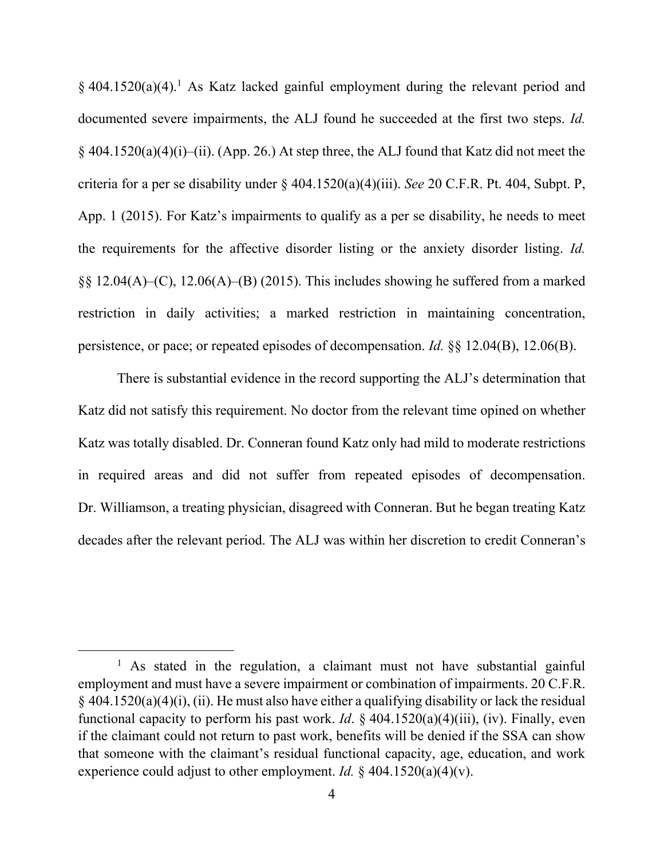§ 404.1520(a)(4). <sup>1</sup> As Katz lacked gainful employment during the relevant period and documented severe impairments, the ALJ found he succeeded at the first two steps. *Id.*  $§$  404.1520(a)(4)(i)–(ii). (App. 26.) At step three, the ALJ found that Katz did not meet the criteria for a per se disability under § 404.1520(a)(4)(iii). *See* 20 C.F.R. Pt. 404, Subpt. P, App. 1 (2015). For Katz's impairments to qualify as a per se disability, he needs to meet the requirements for the affective disorder listing or the anxiety disorder listing. *Id.* §§ 12.04(A)–(C), 12.06(A)–(B) (2015). This includes showing he suffered from a marked restriction in daily activities; a marked restriction in maintaining concentration, persistence, or pace; or repeated episodes of decompensation. *Id.* §§ 12.04(B), 12.06(B).

There is substantial evidence in the record supporting the ALJ's determination that Katz did not satisfy this requirement. No doctor from the relevant time opined on whether Katz was totally disabled. Dr. Conneran found Katz only had mild to moderate restrictions in required areas and did not suffer from repeated episodes of decompensation. Dr. Williamson, a treating physician, disagreed with Conneran. But he began treating Katz decades after the relevant period. The ALJ was within her discretion to credit Conneran's

 $\overline{a}$ 

<sup>&</sup>lt;sup>1</sup> As stated in the regulation, a claimant must not have substantial gainful employment and must have a severe impairment or combination of impairments. 20 C.F.R. § 404.1520(a)(4)(i), (ii). He must also have either a qualifying disability or lack the residual functional capacity to perform his past work. *Id*. § 404.1520(a)(4)(iii), (iv). Finally, even if the claimant could not return to past work, benefits will be denied if the SSA can show that someone with the claimant's residual functional capacity, age, education, and work experience could adjust to other employment. *Id.*  $\frac{6}{9}$  404.1520(a)(4)(v).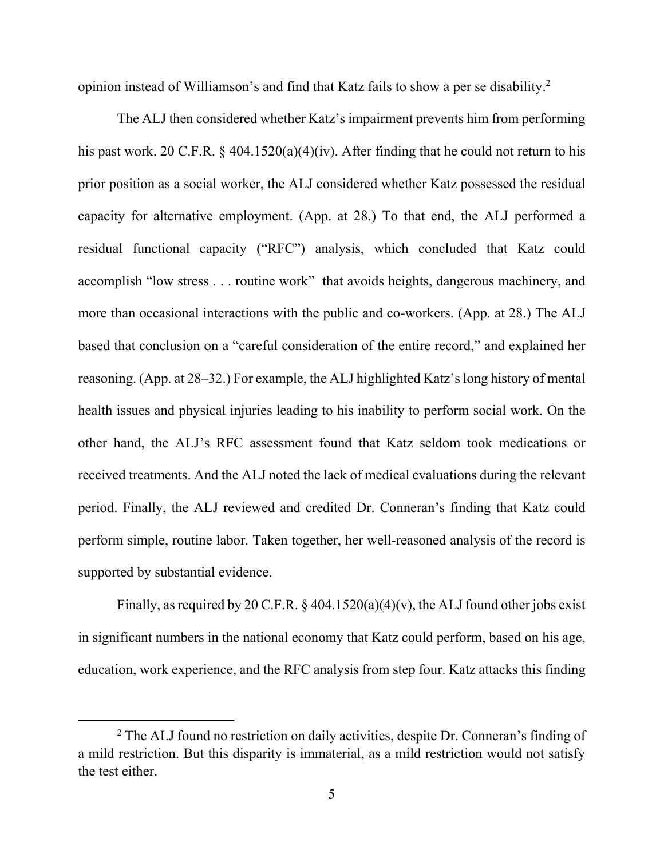opinion instead of Williamson's and find that Katz fails to show a per se disability. 2

The ALJ then considered whether Katz's impairment prevents him from performing his past work. 20 C.F.R. § 404.1520(a)(4)(iv). After finding that he could not return to his prior position as a social worker, the ALJ considered whether Katz possessed the residual capacity for alternative employment. (App. at 28.) To that end, the ALJ performed a residual functional capacity ("RFC") analysis, which concluded that Katz could accomplish "low stress . . . routine work" that avoids heights, dangerous machinery, and more than occasional interactions with the public and co-workers. (App. at 28.) The ALJ based that conclusion on a "careful consideration of the entire record," and explained her reasoning. (App. at 28–32.) For example, the ALJ highlighted Katz's long history of mental health issues and physical injuries leading to his inability to perform social work. On the other hand, the ALJ's RFC assessment found that Katz seldom took medications or received treatments. And the ALJ noted the lack of medical evaluations during the relevant period. Finally, the ALJ reviewed and credited Dr. Conneran's finding that Katz could perform simple, routine labor. Taken together, her well-reasoned analysis of the record is supported by substantial evidence.

Finally, as required by 20 C.F.R.  $\S$  404.1520(a)(4)(v), the ALJ found other jobs exist in significant numbers in the national economy that Katz could perform, based on his age, education, work experience, and the RFC analysis from step four. Katz attacks this finding

 $\overline{a}$ 

<sup>2</sup> The ALJ found no restriction on daily activities, despite Dr. Conneran's finding of a mild restriction. But this disparity is immaterial, as a mild restriction would not satisfy the test either.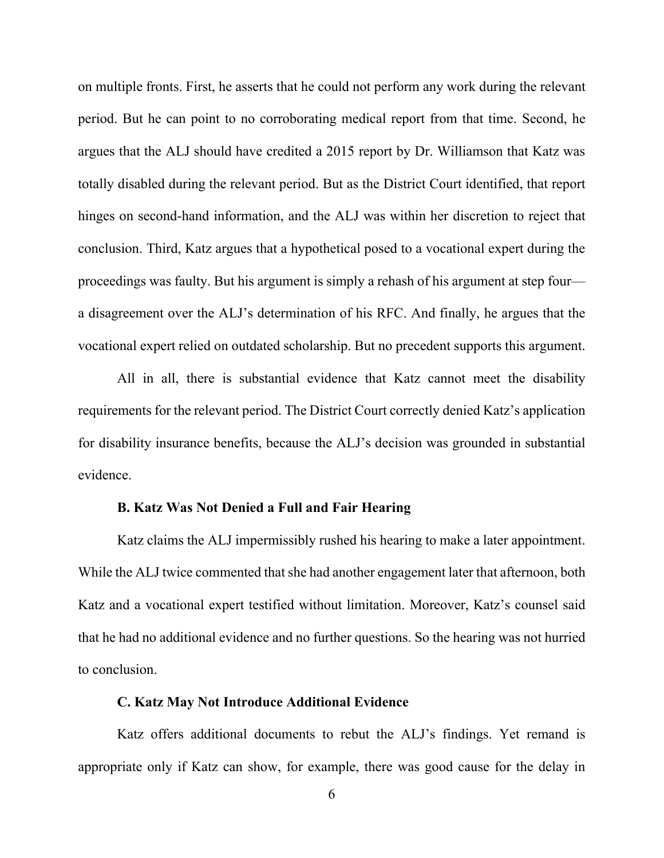on multiple fronts. First, he asserts that he could not perform any work during the relevant period. But he can point to no corroborating medical report from that time. Second, he argues that the ALJ should have credited a 2015 report by Dr. Williamson that Katz was totally disabled during the relevant period. But as the District Court identified, that report hinges on second-hand information, and the ALJ was within her discretion to reject that conclusion. Third, Katz argues that a hypothetical posed to a vocational expert during the proceedings was faulty. But his argument is simply a rehash of his argument at step four a disagreement over the ALJ's determination of his RFC. And finally, he argues that the vocational expert relied on outdated scholarship. But no precedent supports this argument.

All in all, there is substantial evidence that Katz cannot meet the disability requirements for the relevant period. The District Court correctly denied Katz's application for disability insurance benefits, because the ALJ's decision was grounded in substantial evidence.

## **B. Katz Was Not Denied a Full and Fair Hearing**

Katz claims the ALJ impermissibly rushed his hearing to make a later appointment. While the ALJ twice commented that she had another engagement later that afternoon, both Katz and a vocational expert testified without limitation. Moreover, Katz's counsel said that he had no additional evidence and no further questions. So the hearing was not hurried to conclusion.

#### **C. Katz May Not Introduce Additional Evidence**

Katz offers additional documents to rebut the ALJ's findings. Yet remand is appropriate only if Katz can show, for example, there was good cause for the delay in